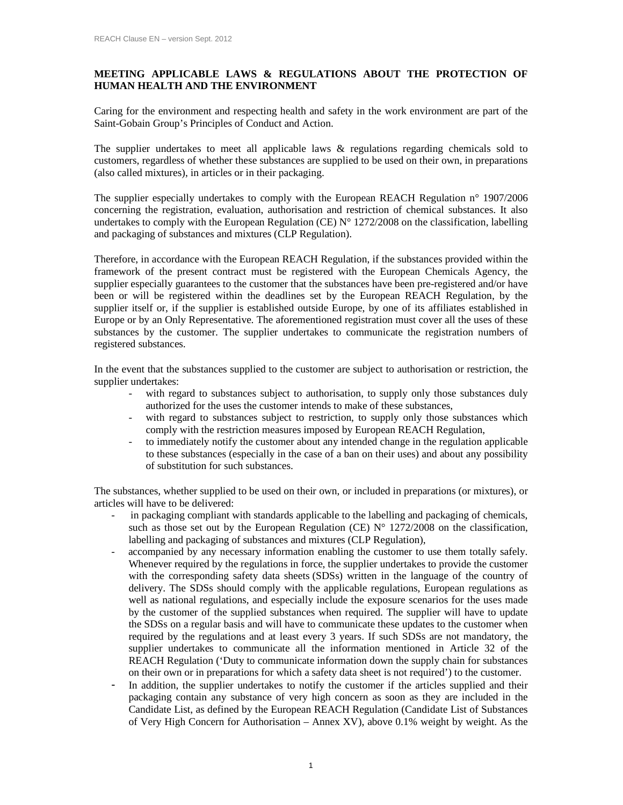## **MEETING APPLICABLE LAWS & REGULATIONS ABOUT THE PROTECTION OF HUMAN HEALTH AND THE ENVIRONMENT**

Caring for the environment and respecting health and safety in the work environment are part of the Saint-Gobain Group's Principles of Conduct and Action.

The supplier undertakes to meet all applicable laws & regulations regarding chemicals sold to customers, regardless of whether these substances are supplied to be used on their own, in preparations (also called mixtures), in articles or in their packaging.

The supplier especially undertakes to comply with the European REACH Regulation n° 1907/2006 concerning the registration, evaluation, authorisation and restriction of chemical substances. It also undertakes to comply with the European Regulation (CE)  $N^{\circ}$  1272/2008 on the classification, labelling and packaging of substances and mixtures (CLP Regulation).

Therefore, in accordance with the European REACH Regulation, if the substances provided within the framework of the present contract must be registered with the European Chemicals Agency, the supplier especially guarantees to the customer that the substances have been pre-registered and/or have been or will be registered within the deadlines set by the European REACH Regulation, by the supplier itself or, if the supplier is established outside Europe, by one of its affiliates established in Europe or by an Only Representative. The aforementioned registration must cover all the uses of these substances by the customer. The supplier undertakes to communicate the registration numbers of registered substances.

In the event that the substances supplied to the customer are subject to authorisation or restriction, the supplier undertakes:

- with regard to substances subject to authorisation, to supply only those substances duly authorized for the uses the customer intends to make of these substances,
- with regard to substances subject to restriction, to supply only those substances which comply with the restriction measures imposed by European REACH Regulation,
- to immediately notify the customer about any intended change in the regulation applicable to these substances (especially in the case of a ban on their uses) and about any possibility of substitution for such substances.

The substances, whether supplied to be used on their own, or included in preparations (or mixtures), or articles will have to be delivered:

- in packaging compliant with standards applicable to the labelling and packaging of chemicals, such as those set out by the European Regulation (CE)  $N^{\circ}$  1272/2008 on the classification, labelling and packaging of substances and mixtures (CLP Regulation),
- accompanied by any necessary information enabling the customer to use them totally safely. Whenever required by the regulations in force, the supplier undertakes to provide the customer with the corresponding safety data sheets (SDSs) written in the language of the country of delivery. The SDSs should comply with the applicable regulations, European regulations as well as national regulations, and especially include the exposure scenarios for the uses made by the customer of the supplied substances when required. The supplier will have to update the SDSs on a regular basis and will have to communicate these updates to the customer when required by the regulations and at least every 3 years. If such SDSs are not mandatory, the supplier undertakes to communicate all the information mentioned in Article 32 of the REACH Regulation ('Duty to communicate information down the supply chain for substances on their own or in preparations for which a safety data sheet is not required') to the customer.
- In addition, the supplier undertakes to notify the customer if the articles supplied and their packaging contain any substance of very high concern as soon as they are included in the Candidate List, as defined by the European REACH Regulation (Candidate List of Substances of Very High Concern for Authorisation – Annex XV), above 0.1% weight by weight. As the